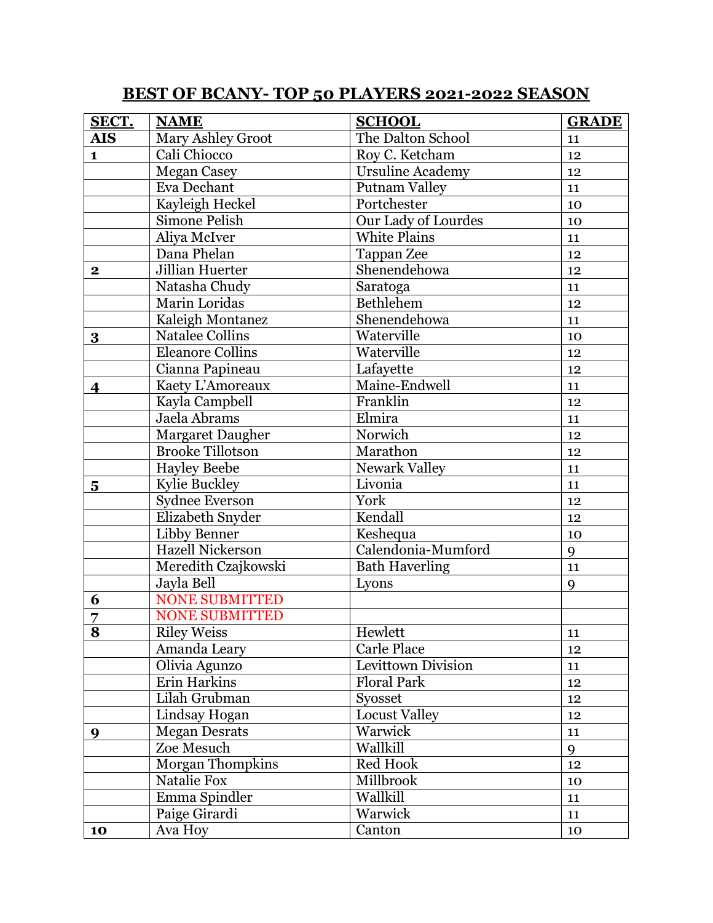| SECT.                   | <b>NAME</b>             | <b>SCHOOL</b>           | <b>GRADE</b> |
|-------------------------|-------------------------|-------------------------|--------------|
| <b>AIS</b>              | Mary Ashley Groot       | The Dalton School       | 11           |
| $\mathbf{1}$            | Cali Chiocco            | Roy C. Ketcham          | 12           |
|                         | <b>Megan Casey</b>      | <b>Ursuline Academy</b> | 12           |
|                         | Eva Dechant             | <b>Putnam Valley</b>    | 11           |
|                         | Kayleigh Heckel         | Portchester             | 10           |
|                         | Simone Pelish           | Our Lady of Lourdes     | 10           |
|                         | Aliya McIver            | <b>White Plains</b>     | 11           |
|                         | Dana Phelan             | <b>Tappan Zee</b>       | 12           |
| $\mathbf 2$             | <b>Jillian Huerter</b>  | Shenendehowa            | 12           |
|                         | Natasha Chudy           | Saratoga                | 11           |
|                         | Marin Loridas           | Bethlehem               | 12           |
|                         | Kaleigh Montanez        | Shenendehowa            | 11           |
| 3                       | Natalee Collins         | Waterville              | 10           |
|                         | <b>Eleanore Collins</b> | Waterville              | 12           |
|                         | Cianna Papineau         | Lafayette               | 12           |
| 4                       | Kaety L'Amoreaux        | Maine-Endwell           | 11           |
|                         | Kayla Campbell          | Franklin                | 12           |
|                         | Jaela Abrams            | Elmira                  | 11           |
|                         | <b>Margaret Daugher</b> | Norwich                 | 12           |
|                         | <b>Brooke Tillotson</b> | Marathon                | 12           |
|                         | <b>Hayley Beebe</b>     | Newark Valley           | 11           |
| $\overline{\mathbf{5}}$ | <b>Kylie Buckley</b>    | Livonia                 | 11           |
|                         | Sydnee Everson          | York                    | 12           |
|                         | Elizabeth Snyder        | Kendall                 | 12           |
|                         | Libby Benner            | Keshequa                | 10           |
|                         | <b>Hazell Nickerson</b> | Calendonia-Mumford      | 9            |
|                         | Meredith Czajkowski     | <b>Bath Haverling</b>   | 11           |
|                         | Jayla Bell              | Lyons                   | 9            |
| 6                       | NONE SUBMITTED          |                         |              |
| 7                       | <b>NONE SUBMITTED</b>   |                         |              |
| 8                       | <b>Riley Weiss</b>      | Hewlett                 | 11           |
|                         | Amanda Leary            | Carle Place             | 12           |
|                         | Olivia Agunzo           | Levittown Division      | 11           |
|                         | Erin Harkins            | <b>Floral Park</b>      | 12           |
|                         | Lilah Grubman           | Syosset                 | 12           |
|                         | Lindsay Hogan           | <b>Locust Valley</b>    | 12           |
| 9                       | <b>Megan Desrats</b>    | Warwick                 | 11           |
|                         | Zoe Mesuch              | Wallkill                | 9            |
|                         | <b>Morgan Thompkins</b> | Red Hook                | 12           |
|                         | Natalie Fox             | Millbrook               | 10           |
|                         | Emma Spindler           | Wallkill                | 11           |
|                         | Paige Girardi           | Warwick                 | 11           |
| 10                      | Ava Hoy                 | Canton                  | 10           |

## **BEST OF BCANY- TOP 50 PLAYERS 2021-2022 SEASON**